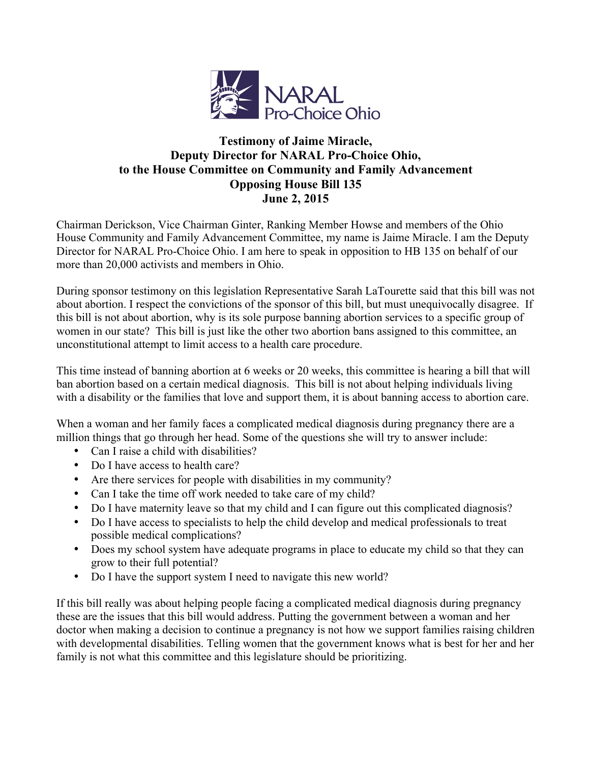

## **Testimony of Jaime Miracle, Deputy Director for NARAL Pro-Choice Ohio, to the House Committee on Community and Family Advancement Opposing House Bill 135 June 2, 2015**

Chairman Derickson, Vice Chairman Ginter, Ranking Member Howse and members of the Ohio House Community and Family Advancement Committee, my name is Jaime Miracle. I am the Deputy Director for NARAL Pro-Choice Ohio. I am here to speak in opposition to HB 135 on behalf of our more than 20,000 activists and members in Ohio.

During sponsor testimony on this legislation Representative Sarah LaTourette said that this bill was not about abortion. I respect the convictions of the sponsor of this bill, but must unequivocally disagree. If this bill is not about abortion, why is its sole purpose banning abortion services to a specific group of women in our state? This bill is just like the other two abortion bans assigned to this committee, an unconstitutional attempt to limit access to a health care procedure.

This time instead of banning abortion at 6 weeks or 20 weeks, this committee is hearing a bill that will ban abortion based on a certain medical diagnosis. This bill is not about helping individuals living with a disability or the families that love and support them, it is about banning access to abortion care.

When a woman and her family faces a complicated medical diagnosis during pregnancy there are a million things that go through her head. Some of the questions she will try to answer include:

- Can I raise a child with disabilities?
- Do I have access to health care?
- Are there services for people with disabilities in my community?
- Can I take the time off work needed to take care of my child?
- Do I have maternity leave so that my child and I can figure out this complicated diagnosis?
- Do I have access to specialists to help the child develop and medical professionals to treat possible medical complications?
- Does my school system have adequate programs in place to educate my child so that they can grow to their full potential?
- Do I have the support system I need to navigate this new world?

If this bill really was about helping people facing a complicated medical diagnosis during pregnancy these are the issues that this bill would address. Putting the government between a woman and her doctor when making a decision to continue a pregnancy is not how we support families raising children with developmental disabilities. Telling women that the government knows what is best for her and her family is not what this committee and this legislature should be prioritizing.